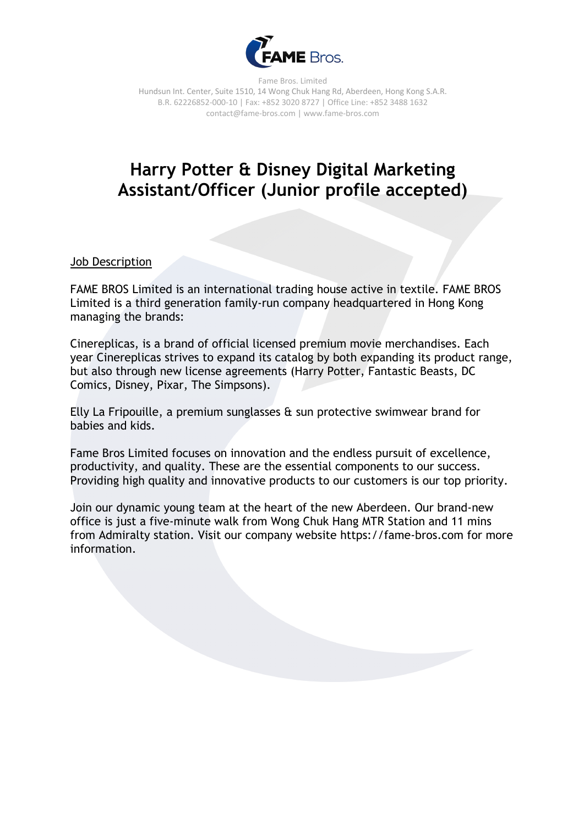

Fame Bros. Limited Hundsun Int. Center, Suite 1510, 14 Wong Chuk Hang Rd, Aberdeen, Hong Kong S.A.R. B.R. 62226852-000-10 | Fax: +852 3020 8727 | Office Line: +852 3488 1632 contact@fame-bros.com | www.fame-bros.com

## **Harry Potter & Disney Digital Marketing Assistant/Officer (Junior profile accepted)**

Job Description

FAME BROS Limited is an international trading house active in textile. FAME BROS Limited is a third generation family-run company headquartered in Hong Kong managing the brands:

Cinereplicas, is a brand of official licensed premium movie merchandises. Each year Cinereplicas strives to expand its catalog by both expanding its product range, but also through new license agreements (Harry Potter, Fantastic Beasts, DC Comics, Disney, Pixar, The Simpsons).

Elly La Fripouille, a premium sunglasses  $\hat{a}$  sun protective swimwear brand for babies and kids.

Fame Bros Limited focuses on innovation and the endless pursuit of excellence, productivity, and quality. These are the essential components to our success. Providing high quality and innovative products to our customers is our top priority.

Join our dynamic young team at the heart of the new Aberdeen. Our brand-new office is just a five-minute walk from Wong Chuk Hang MTR Station and 11 mins from Admiralty station. Visit our company website https://fame-bros.com for more information.